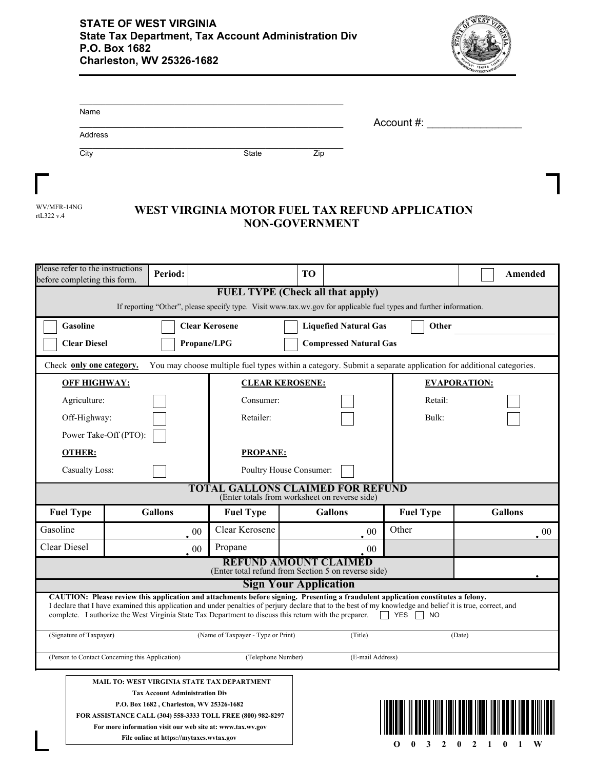

| Name    |              |     |            |
|---------|--------------|-----|------------|
|         |              |     | Account #: |
| Address |              |     |            |
| City    | <b>State</b> | Zip |            |

| WV/MFR-14NG             |  |  |  |  |
|-------------------------|--|--|--|--|
| rt $1.322 \text{ v}$ .4 |  |  |  |  |

Г

## WEST VIRGINIA MOTOR FUEL TAX REFUND APPLICATION **NON-GOVERNMENT**

| Please refer to the instructions<br>before completing this form.                                                                                              | Period:                                                                                                                                                                                                |                                    | TО                                                                                                                                                                                                                                                                                               |                        | Amended             |  |  |
|---------------------------------------------------------------------------------------------------------------------------------------------------------------|--------------------------------------------------------------------------------------------------------------------------------------------------------------------------------------------------------|------------------------------------|--------------------------------------------------------------------------------------------------------------------------------------------------------------------------------------------------------------------------------------------------------------------------------------------------|------------------------|---------------------|--|--|
| <b>FUEL TYPE (Check all that apply)</b><br>If reporting "Other", please specify type. Visit www.tax.wv.gov for applicable fuel types and further information. |                                                                                                                                                                                                        |                                    |                                                                                                                                                                                                                                                                                                  |                        |                     |  |  |
| Gasoline<br><b>Clear Kerosene</b><br><b>Liquefied Natural Gas</b><br>Other                                                                                    |                                                                                                                                                                                                        |                                    |                                                                                                                                                                                                                                                                                                  |                        |                     |  |  |
| <b>Clear Diesel</b>                                                                                                                                           |                                                                                                                                                                                                        | Propane/LPG                        | <b>Compressed Natural Gas</b>                                                                                                                                                                                                                                                                    |                        |                     |  |  |
| You may choose multiple fuel types within a category. Submit a separate application for additional categories.<br>Check only one category.                    |                                                                                                                                                                                                        |                                    |                                                                                                                                                                                                                                                                                                  |                        |                     |  |  |
|                                                                                                                                                               | <b>OFF HIGHWAY:</b><br><b>CLEAR KEROSENE:</b>                                                                                                                                                          |                                    |                                                                                                                                                                                                                                                                                                  |                        | <b>EVAPORATION:</b> |  |  |
| Agriculture:                                                                                                                                                  |                                                                                                                                                                                                        | Consumer:                          |                                                                                                                                                                                                                                                                                                  | Retail:                |                     |  |  |
| Off-Highway:                                                                                                                                                  |                                                                                                                                                                                                        | Retailer:                          |                                                                                                                                                                                                                                                                                                  | Bulk:                  |                     |  |  |
|                                                                                                                                                               | Power Take-Off (PTO):                                                                                                                                                                                  |                                    |                                                                                                                                                                                                                                                                                                  |                        |                     |  |  |
| <b>OTHER:</b>                                                                                                                                                 |                                                                                                                                                                                                        | <b>PROPANE:</b>                    |                                                                                                                                                                                                                                                                                                  |                        |                     |  |  |
| <b>Casualty Loss:</b>                                                                                                                                         |                                                                                                                                                                                                        |                                    | Poultry House Consumer:                                                                                                                                                                                                                                                                          |                        |                     |  |  |
| <b>TOTAL GALLONS CLAIMED FOR REFUND</b><br>(Enter totals from worksheet on reverse side)                                                                      |                                                                                                                                                                                                        |                                    |                                                                                                                                                                                                                                                                                                  |                        |                     |  |  |
| <b>Fuel Type</b>                                                                                                                                              | <b>Gallons</b>                                                                                                                                                                                         | <b>Fuel Type</b>                   | <b>Gallons</b>                                                                                                                                                                                                                                                                                   | <b>Fuel Type</b>       | <b>Gallons</b>      |  |  |
|                                                                                                                                                               |                                                                                                                                                                                                        |                                    |                                                                                                                                                                                                                                                                                                  |                        |                     |  |  |
| Gasoline                                                                                                                                                      | 00                                                                                                                                                                                                     | Clear Kerosene                     | 00                                                                                                                                                                                                                                                                                               | Other                  | 00                  |  |  |
| Clear Diesel                                                                                                                                                  | 00                                                                                                                                                                                                     | Propane                            | 00                                                                                                                                                                                                                                                                                               |                        |                     |  |  |
|                                                                                                                                                               |                                                                                                                                                                                                        |                                    | <b>REFUND AMOUNT CLAIMED</b>                                                                                                                                                                                                                                                                     |                        |                     |  |  |
|                                                                                                                                                               |                                                                                                                                                                                                        |                                    | (Enter total refund from Section 5 on reverse side)<br><b>Sign Your Application</b>                                                                                                                                                                                                              |                        |                     |  |  |
|                                                                                                                                                               | complete. I authorize the West Virginia State Tax Department to discuss this return with the preparer.                                                                                                 |                                    | CAUTION: Please review this application and attachments before signing. Presenting a fraudulent application constitutes a felony.<br>I declare that I have examined this application and under penalties of perjury declare that to the best of my knowledge and belief it is true, correct, and | <b>T</b> YES <b>NO</b> |                     |  |  |
| (Signature of Taxpayer)                                                                                                                                       |                                                                                                                                                                                                        | (Name of Taxpayer - Type or Print) | (Title)                                                                                                                                                                                                                                                                                          |                        | (Date)              |  |  |
|                                                                                                                                                               | (Person to Contact Concerning this Application)                                                                                                                                                        | (Telephone Number)                 | (E-mail Address)                                                                                                                                                                                                                                                                                 |                        |                     |  |  |
|                                                                                                                                                               | <b>MAIL TO: WEST VIRGINIA STATE TAX DEPARTMENT</b><br><b>Tax Account Administration Div</b><br>P.O. Box 1682, Charleston, WV 25326-1682<br>FOR ASSISTANCE CALL (304) 558-3333 TOLL FREE (800) 982-8297 |                                    |                                                                                                                                                                                                                                                                                                  |                        |                     |  |  |